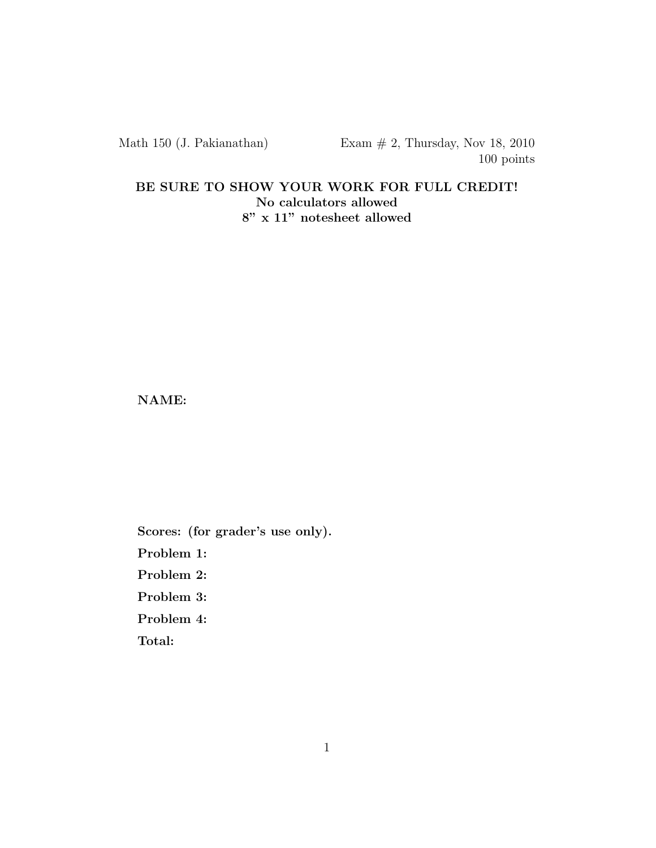BE SURE TO SHOW YOUR WORK FOR FULL CREDIT! No calculators allowed 8" x 11" notesheet allowed

NAME:

Scores: (for grader's use only). Problem 1: Problem 2: Problem 3: Problem 4: Total: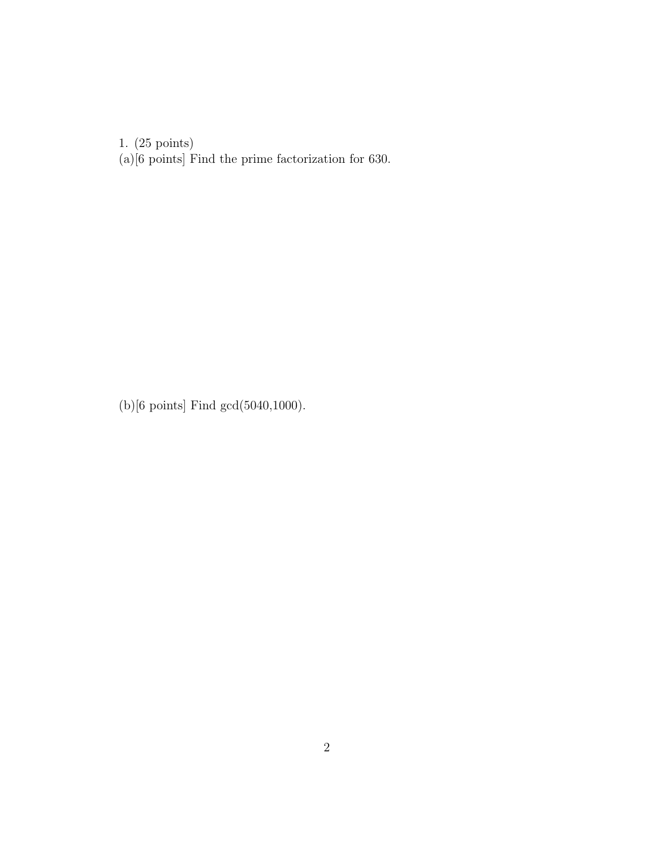(a)[6 points] Find the prime factorization for 630.

(b)[6 points] Find gcd(5040,1000).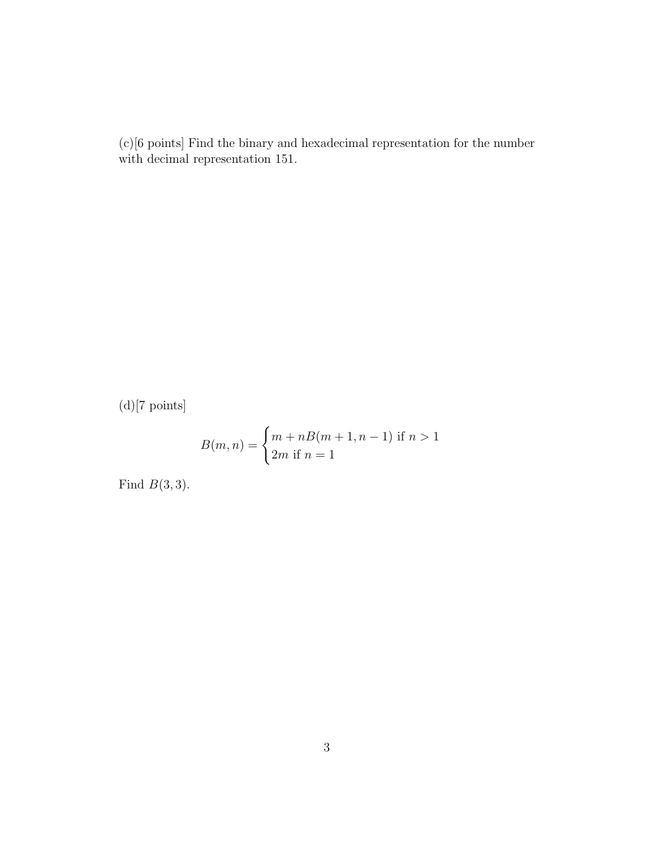(c)[6 points] Find the binary and hexadecimal representation for the number with decimal representation 151.

 $(d)$ [7 points]

$$
B(m, n) = \begin{cases} m + nB(m + 1, n - 1) & \text{if } n > 1 \\ 2m & \text{if } n = 1 \end{cases}
$$

Find  $B(3,3)$ .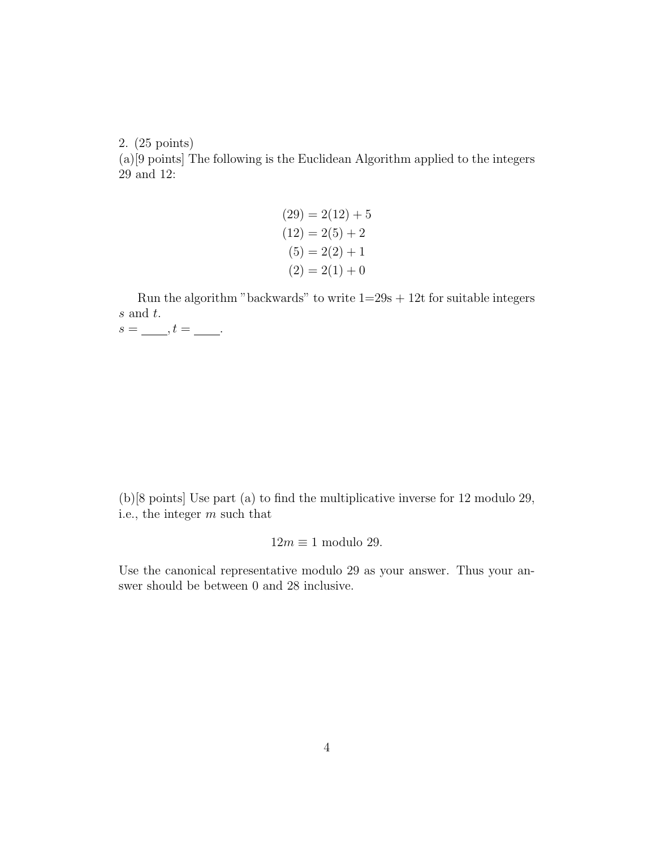(a)[9 points] The following is the Euclidean Algorithm applied to the integers 29 and 12:

> $(29) = 2(12) + 5$  $(12) = 2(5) + 2$  $(5) = 2(2) + 1$  $(2) = 2(1) + 0$

Run the algorithm "backwards" to write  $1=29s + 12t$  for suitable integers s and t.  $s = \underline{\hspace{1cm}}, t = \underline{\hspace{1cm}}.$ 

(b)[8 points] Use part (a) to find the multiplicative inverse for 12 modulo 29, i.e., the integer  $m$  such that

$$
12m\equiv 1\text{ modulo }29.
$$

Use the canonical representative modulo 29 as your answer. Thus your answer should be between 0 and 28 inclusive.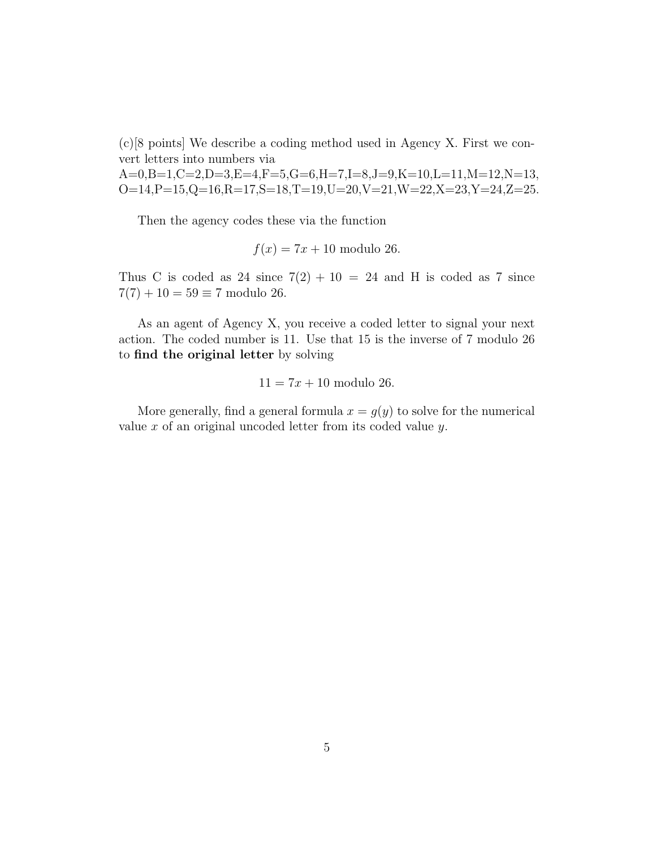(c)[8 points] We describe a coding method used in Agency X. First we convert letters into numbers via

A=0,B=1,C=2,D=3,E=4,F=5,G=6,H=7,I=8,J=9,K=10,L=11,M=12,N=13,  $O=14, P=15, Q=16, R=17, S=18, T=19, U=20, V=21, W=22, X=23, Y=24, Z=25.$ 

Then the agency codes these via the function

$$
f(x) = 7x + 10
$$
 modulo 26.

Thus C is coded as 24 since  $7(2) + 10 = 24$  and H is coded as 7 since  $7(7) + 10 = 59 \equiv 7$  modulo 26.

As an agent of Agency X, you receive a coded letter to signal your next action. The coded number is 11. Use that 15 is the inverse of 7 modulo 26 to find the original letter by solving

$$
11 = 7x + 10
$$
 modulo 26.

More generally, find a general formula  $x = g(y)$  to solve for the numerical value  $x$  of an original uncoded letter from its coded value  $y$ .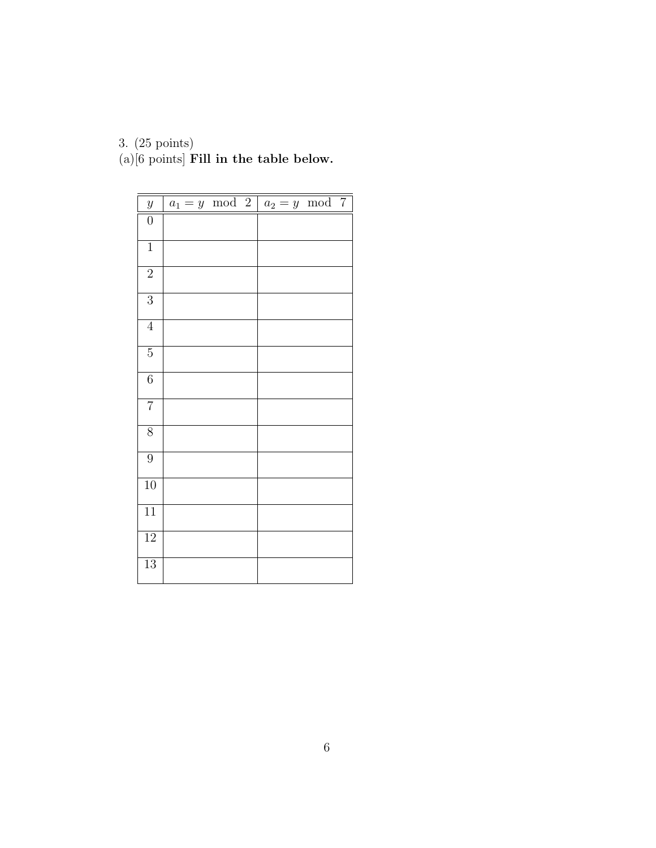(a) $[6 \text{ points}]$  Fill in the table below.

| $\boldsymbol{y}$ | $a_1 = y \mod 2$ |  | $a_2 = y \mod 7$ |  |
|------------------|------------------|--|------------------|--|
| $\boldsymbol{0}$ |                  |  |                  |  |
| $\,1$            |                  |  |                  |  |
| $\overline{2}$   |                  |  |                  |  |
| $\overline{3}$   |                  |  |                  |  |
| $\overline{4}$   |                  |  |                  |  |
| $\overline{5}$   |                  |  |                  |  |
| $\overline{6}$   |                  |  |                  |  |
| $\overline{7}$   |                  |  |                  |  |
| $\overline{8}$   |                  |  |                  |  |
| $\overline{9}$   |                  |  |                  |  |
| $\overline{10}$  |                  |  |                  |  |
| $\overline{11}$  |                  |  |                  |  |
| 12               |                  |  |                  |  |
| $\overline{13}$  |                  |  |                  |  |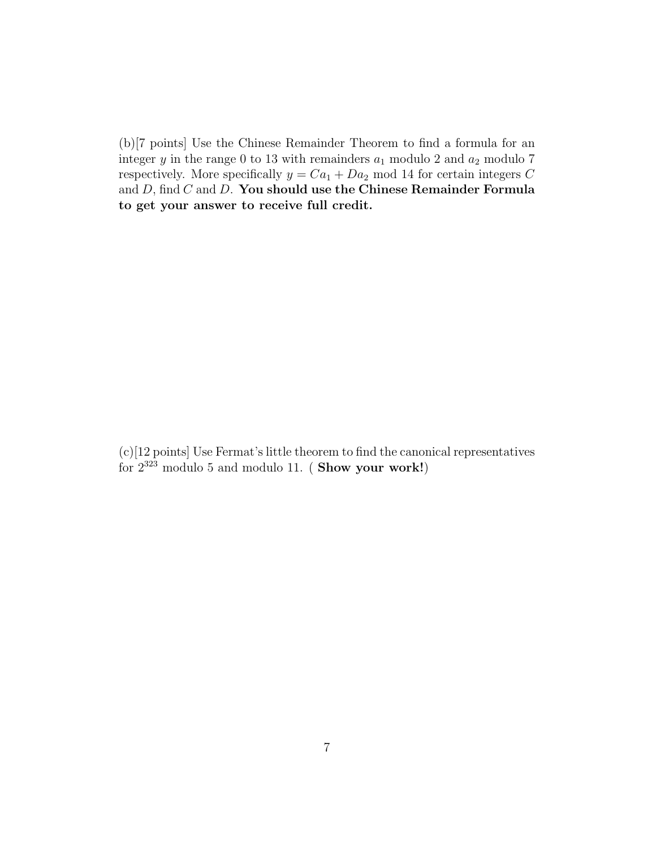(b)[7 points] Use the Chinese Remainder Theorem to find a formula for an integer y in the range 0 to 13 with remainders  $a_1$  modulo 2 and  $a_2$  modulo 7 respectively. More specifically  $y = Ca_1 + Da_2$  mod 14 for certain integers C and  $D$ , find  $C$  and  $D$ . You should use the Chinese Remainder Formula to get your answer to receive full credit.

(c)[12 points] Use Fermat's little theorem to find the canonical representatives for  $2^{323}$  modulo 5 and modulo 11. (Show your work!)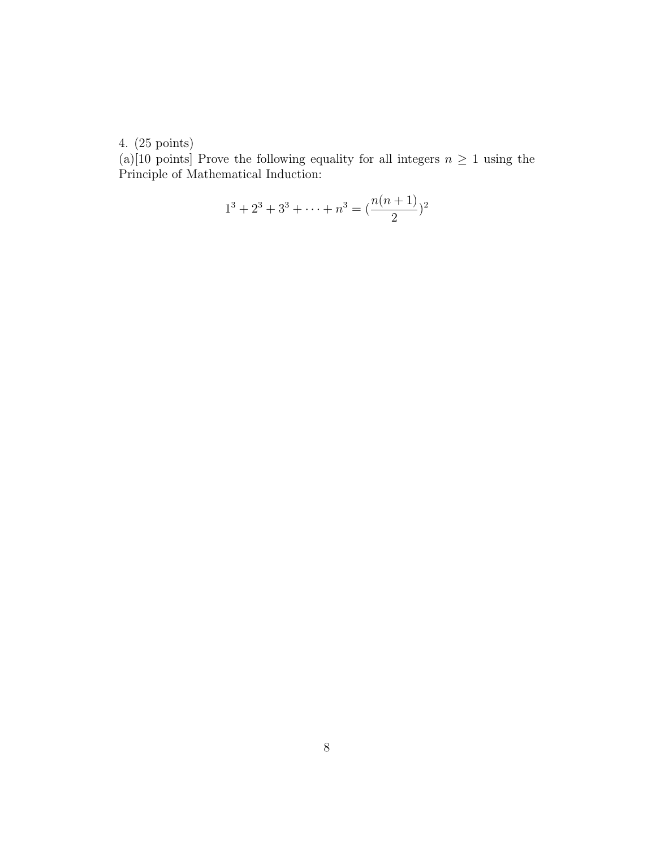(a)[10 points] Prove the following equality for all integers  $n \geq 1$  using the Principle of Mathematical Induction:

$$
1^3 + 2^3 + 3^3 + \dots + n^3 = \left(\frac{n(n+1)}{2}\right)^2
$$